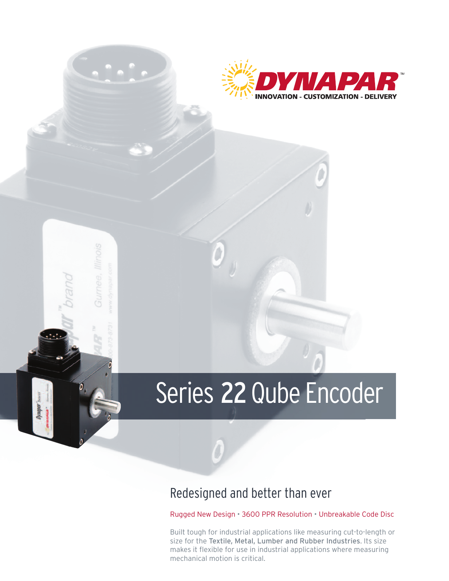

## Series 22 Qube Encoder

## Redesigned and better than ever

Rugged New Design • 3600 PPR Resolution • Unbreakable Code Disc

Built tough for industrial applications like measuring cut-to-length or size for the Textile, Metal, Lumber and Rubber Industries. Its size makes it flexible for use in industrial applications where measuring mechanical motion is critical.